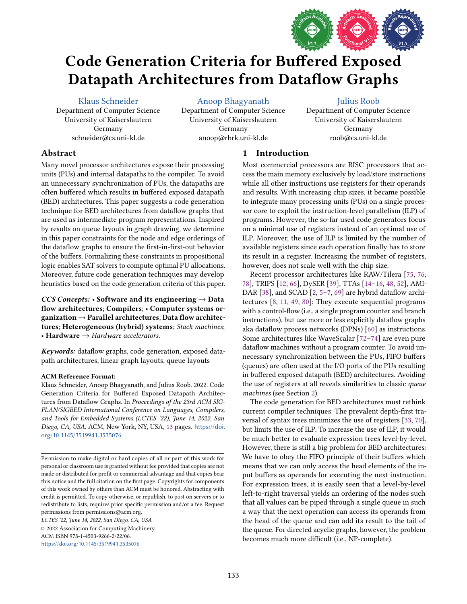

# Code Generation Criteria for Buffered Exposed Datapath Architectures from Dataflow Graphs

[Klaus Schneider](https://orcid.org/0000-0002-1305-7132)

Department of Computer Science University of Kaiserslautern Germany schneider@cs.uni-kl.de

[Anoop Bhagyanath](https://orcid.org/0000-0001-7866-5983)

Department of Computer Science University of Kaiserslautern Germany anoop@rhrk.uni-kl.de

### [Julius Roob](https://orcid.org/0000-0003-0162-3675)

Department of Computer Science University of Kaiserslautern Germany roob@cs.uni-kl.de

## Abstract

Many novel processor architectures expose their processing units (PUs) and internal datapaths to the compiler. To avoid an unnecessary synchronization of PUs, the datapaths are often buffered which results in buffered exposed datapath (BED) architectures. This paper suggests a code generation technique for BED architectures from dataflow graphs that are used as intermediate program representations. Inspired by results on queue layouts in graph drawing, we determine in this paper constraints for the node and edge orderings of the dataflow graphs to ensure the first-in-first-out behavior of the buffers. Formalizing these constraints in propositional logic enables SAT solvers to compute optimal PU allocations. Moreover, future code generation techniques may develop heuristics based on the code generation criteria of this paper.

CCS Concepts: • Software and its engineering  $\rightarrow$  Data flow architectures; Compilers; · Computer systems or $ganization \rightarrow Parallel$  architectures; Data flow architectures; Heterogeneous (hybrid) systems; Stack machines; • Hardware  $\rightarrow$  Hardware accelerators.

Keywords: dataflow graphs, code generation, exposed datapath architectures, linear graph layouts, queue layouts

## ACM Reference Format:

Klaus Schneider, Anoop Bhagyanath, and Julius Roob. 2022. Code Generation Criteria for Buffered Exposed Datapath Architectures from Dataflow Graphs. In Proceedings of the 23rd ACM SIG-PLAN/SIGBED International Conference on Languages, Compilers, and Tools for Embedded Systems (LCTES '22), June 14, 2022, San Diego, CA, USA. ACM, New York, NY, USA, [13](#page-12-0) pages. [https://doi.](https://doi.org/10.1145/3519941.3535076) [org/10.1145/3519941.3535076](https://doi.org/10.1145/3519941.3535076)

LCTES '22, June 14, 2022, San Diego, CA, USA © 2022 Association for Computing Machinery.

ACM ISBN 978-1-4503-9266-2/22/06. <https://doi.org/10.1145/3519941.3535076>

# 1 Introduction

Most commercial processors are RISC processors that access the main memory exclusively by load/store instructions while all other instructions use registers for their operands and results. With increasing chip sizes, it became possible to integrate many processing units (PUs) on a single processor core to exploit the instruction-level parallelism (ILP) of programs. However, the so-far used code generators focus on a minimal use of registers instead of an optimal use of ILP. Moreover, the use of ILP is limited by the number of available registers since each operation finally has to store its result in a register. Increasing the number of registers, however, does not scale well with the chip size.

Recent processor architectures like RAW/Tilera [\[75,](#page-12-1) [76,](#page-12-2) [78\]](#page-12-3), TRIPS [\[12,](#page-11-0) [66\]](#page-12-4), DySER [\[39\]](#page-11-1), TTAs [\[14](#page-11-2)-16, [48,](#page-12-5) [52\]](#page-12-6), AMI-DAR [\[38\]](#page-11-4), and SCAD  $[2, 5-7, 69]$  $[2, 5-7, 69]$  $[2, 5-7, 69]$  $[2, 5-7, 69]$  are hybrid dataflow architectures [\[8,](#page-11-8) [11,](#page-11-9) [49,](#page-12-8) [80\]](#page-12-9): They execute sequential programs with a control-flow (i.e., a single program counter and branch instructions), but use more or less explicitly dataflow graphs aka dataflow process networks (DPNs) [\[60\]](#page-12-10) as instructions. Some architectures like WaveScalar [\[72](#page-12-11)-74] are even pure dataflow machines without a program counter. To avoid unnecessary synchronization between the PUs, FIFO buffers (queues) are often used at the I/O ports of the PUs resulting in buffered exposed datapath (BED) architectures. Avoiding the use of registers at all reveals similarities to classic queue machines (see Section [2\)](#page-1-0).

The code generation for BED architectures must rethink current compiler techniques: The prevalent depth-first traversal of syntax trees minimizes the use of registers [\[33,](#page-11-10) [70\]](#page-12-13), but limits the use of ILP. To increase the use of ILP, it would be much better to evaluate expression trees level-by-level. However, there is still a big problem for BED architectures: We have to obey the FIFO principle of their buffers which means that we can only access the head elements of the input buffers as operands for executing the next instruction. For expression trees, it is easily seen that a level-by-level left-to-right traversal yields an ordering of the nodes such that all values can be piped through a single queue in such a way that the next operation can access its operands from the head of the queue and can add its result to the tail of the queue. For directed acyclic graphs, however, the problem becomes much more difficult (i.e., NP-complete).

Permission to make digital or hard copies of all or part of this work for personal or classroom use is granted without fee provided that copies are not made or distributed for profit or commercial advantage and that copies bear this notice and the full citation on the first page. Copyrights for components of this work owned by others than ACM must be honored. Abstracting with credit is permitted. To copy otherwise, or republish, to post on servers or to redistribute to lists, requires prior specific permission and/or a fee. Request permissions from permissions@acm.org.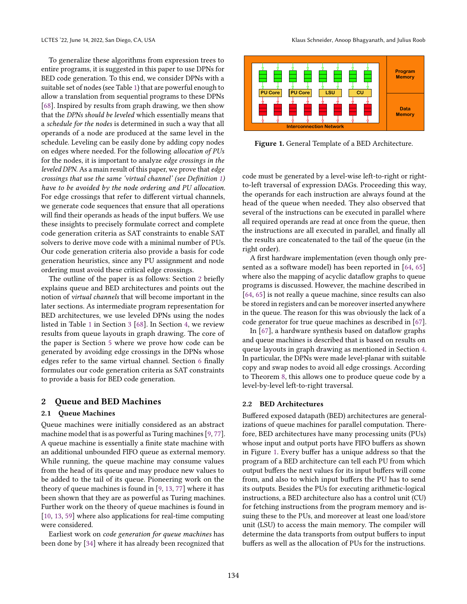To generalize these algorithms from expression trees to entire programs, it is suggested in this paper to use DPNs for BED code generation. To this end, we consider DPNs with a suitable set of nodes (see Table [1\)](#page-2-0) that are powerful enough to allow a translation from sequential programs to these DPNs [\[68\]](#page-12-14). Inspired by results from graph drawing, we then show that the DPNs should be leveled which essentially means that a schedule for the nodes is determined in such a way that all operands of a node are produced at the same level in the schedule. Leveling can be easily done by adding copy nodes on edges where needed. For the following allocation of PUs for the nodes, it is important to analyze edge crossings in the leveled DPN. As a main result of this paper, we prove that edge crossings that use the same 'virtual channel' (see Definition [1\)](#page-2-1) have to be avoided by the node ordering and PU allocation. For edge crossings that refer to different virtual channels, we generate code sequences that ensure that all operations will find their operands as heads of the input buffers. We use these insights to precisely formulate correct and complete code generation criteria as SAT constraints to enable SAT solvers to derive move code with a minimal number of PUs. Our code generation criteria also provide a basis for code generation heuristics, since any PU assignment and node ordering must avoid these critical edge crossings.

The outline of the paper is as follows: Section [2](#page-1-0) briefly explains queue and BED architectures and points out the notion of virtual channels that will become important in the later sections. As intermediate program representation for BED architectures, we use leveled DPNs using the nodes listed in Table [1](#page-2-0) in Section [3](#page-2-2) [\[68\]](#page-12-14). In Section [4,](#page-3-0) we review results from queue layouts in graph drawing. The core of the paper is Section [5](#page-5-0) where we prove how code can be generated by avoiding edge crossings in the DPNs whose edges refer to the same virtual channel. Section [6](#page-9-0) finally formulates our code generation criteria as SAT constraints to provide a basis for BED code generation.

#### <span id="page-1-0"></span>2 Queue and BED Machines

#### 2.1 Queue Machines

Queue machines were initially considered as an abstract machine model that is as powerful as Turing machines [\[9,](#page-11-11) [77\]](#page-12-15). A queue machine is essentially a finite state machine with an additional unbounded FIFO queue as external memory. While running, the queue machine may consume values from the head of its queue and may produce new values to be added to the tail of its queue. Pioneering work on the theory of queue machines is found in [\[9,](#page-11-11) [13,](#page-11-12) [77\]](#page-12-15) where it has been shown that they are as powerful as Turing machines. Further work on the theory of queue machines is found in [\[10,](#page-11-13) [13,](#page-11-12) [59\]](#page-12-16) where also applications for real-time computing were considered.

Earliest work on code generation for queue machines has been done by [\[34\]](#page-11-14) where it has already been recognized that

<span id="page-1-1"></span>

Figure 1. General Template of a BED Architecture.

code must be generated by a level-wise left-to-right or rightto-left traversal of expression DAGs. Proceeding this way, the operands for each instruction are always found at the head of the queue when needed. They also observed that several of the instructions can be executed in parallel where all required operands are read at once from the queue, then the instructions are all executed in parallel, and finally all the results are concatenated to the tail of the queue (in the right order).

A first hardware implementation (even though only presented as a software model) has been reported in [\[64,](#page-12-17) [65\]](#page-12-18) where also the mapping of acyclic dataflow graphs to queue programs is discussed. However, the machine described in [\[64,](#page-12-17) [65\]](#page-12-18) is not really a queue machine, since results can also be stored in registers and can be moreover inserted anywhere in the queue. The reason for this was obviously the lack of a code generator for true queue machines as described in [\[67\]](#page-12-19).

In [\[67\]](#page-12-19), a hardware synthesis based on dataflow graphs and queue machines is described that is based on results on queue layouts in graph drawing as mentioned in Section [4.](#page-3-0) In particular, the DPNs were made level-planar with suitable copy and swap nodes to avoid all edge crossings. According to Theorem [8,](#page-6-0) this allows one to produce queue code by a level-by-level left-to-right traversal.

#### 2.2 BED Architectures

Buffered exposed datapath (BED) architectures are generalizations of queue machines for parallel computation. Therefore, BED architectures have many processing units (PUs) whose input and output ports have FIFO buffers as shown in Figure [1.](#page-1-1) Every buffer has a unique address so that the program of a BED architecture can tell each PU from which output buffers the next values for its input buffers will come from, and also to which input buffers the PU has to send its outputs. Besides the PUs for executing arithmetic-logical instructions, a BED architecture also has a control unit (CU) for fetching instructions from the program memory and issuing these to the PUs, and moreover at least one load/store unit (LSU) to access the main memory. The compiler will determine the data transports from output buffers to input buffers as well as the allocation of PUs for the instructions.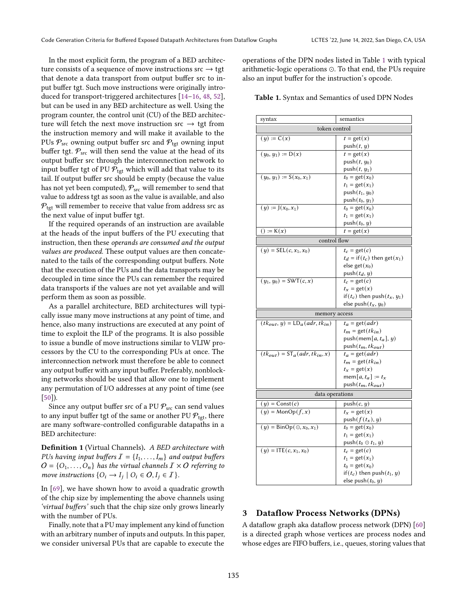In the most explicit form, the program of a BED architecture consists of a sequence of move instructions  $src \rightarrow \text{tgt}$ that denote a data transport from output buffer src to input buffer tgt. Such move instructions were originally introduced for transport-triggered architectures  $[14–16, 48, 52]$  $[14–16, 48, 52]$  $[14–16, 48, 52]$  $[14–16, 48, 52]$  $[14–16, 48, 52]$  $[14–16, 48, 52]$ , but can be used in any BED architecture as well. Using the program counter, the control unit (CU) of the BED architecture will fetch the next move instruction src  $\rightarrow$  tgt from the instruction memory and will make it available to the PUs  $P_{\text{src}}$  owning output buffer src and  $P_{\text{tgt}}$  owning input buffer tgt.  $P_{src}$  will then send the value at the head of its output buffer src through the interconnection network to input buffer tgt of PU  $P_{tgt}$  which will add that value to its tail. If output buffer src should be empty (because the value has not yet been computed),  $P_{src}$  will remember to send that value to address tgt as soon as the value is available, and also  $P_{\text{tot}}$  will remember to receive that value from address src as the next value of input buffer tgt.

If the required operands of an instruction are available at the heads of the input buffers of the PU executing that instruction, then these operands are consumed and the output values are produced. These output values are then concatenated to the tails of the corresponding output buffers. Note that the execution of the PUs and the data transports may be decoupled in time since the PUs can remember the required data transports if the values are not yet available and will perform them as soon as possible.

As a parallel architecture, BED architectures will typically issue many move instructions at any point of time, and hence, also many instructions are executed at any point of time to exploit the ILP of the programs. It is also possible to issue a bundle of move instructions similar to VLIW processors by the CU to the corresponding PUs at once. The interconnection network must therefore be able to connect any output buffer with any input buffer. Preferably, nonblocking networks should be used that allow one to implement any permutation of I/O addresses at any point of time (see [\[50\]](#page-12-20)).

Since any output buffer src of a PU  $P_{src}$  can send values to any input buffer tgt of the same or another PU  $P_{\text{tgt}}$ , there are many software-controlled configurable datapaths in a BED architecture:

<span id="page-2-1"></span>Definition 1 (Virtual Channels). A BED architecture with PUs having input buffers  $\mathcal{I} = \{I_1, \ldots, I_m\}$  and output buffers  $O = \{O_1, \ldots, O_n\}$  has the virtual channels  $I \times O$  referring to move instructions  $\{O_i \rightarrow I_j \mid O_i \in O, I_j \in I\}$ .

In [\[69\]](#page-12-7), we have shown how to avoid a quadratic growth of the chip size by implementing the above channels using 'virtual buffers' such that the chip size only grows linearly with the number of PUs.

Finally, note that a PU may implement any kind of function with an arbitrary number of inputs and outputs. In this paper, we consider universal PUs that are capable to execute the

operations of the DPN nodes listed in Table [1](#page-2-0) with typical arithmetic-logic operations ⊙. To that end, the PUs require also an input buffer for the instruction's opcode.

<span id="page-2-0"></span>Table 1. Syntax and Semantics of used DPN Nodes

| syntax                                | semantics                               |  |  |  |  |
|---------------------------------------|-----------------------------------------|--|--|--|--|
| token control                         |                                         |  |  |  |  |
| $(y) := C(x)$                         | $t = get(x)$                            |  |  |  |  |
|                                       | push(t, y)                              |  |  |  |  |
| $(y_0, y_1) := D(x)$                  | $t = get(x)$                            |  |  |  |  |
|                                       | $push(t, y_0)$                          |  |  |  |  |
|                                       | push $(t, y_1)$                         |  |  |  |  |
| $(y_0, y_1) := S(x_0, x_1)$           | $t_0 = \text{get}(x_0)$                 |  |  |  |  |
|                                       | $t_1 = \text{get}(x_1)$                 |  |  |  |  |
|                                       | push $(t_1, y_0)$                       |  |  |  |  |
|                                       | push $(t_0, y_1)$                       |  |  |  |  |
| $(y) := J(x_0, x_1)$                  | $t_0 = \text{get}(x_0)$                 |  |  |  |  |
|                                       | $t_1 = \text{get}(x_1)$                 |  |  |  |  |
|                                       | push $(t_0, y)$                         |  |  |  |  |
| $() := K(x)$                          | $t = get(x)$                            |  |  |  |  |
| control flow                          |                                         |  |  |  |  |
| $(y) = \mathsf{SEL}(c, x_1, x_0)$     | $t_c = \text{get}(c)$                   |  |  |  |  |
|                                       | $t_d = \text{if}(t_c)$ then get $(x_1)$ |  |  |  |  |
|                                       | else get $(x_0)$                        |  |  |  |  |
|                                       | push $(t_d, y)$                         |  |  |  |  |
| $(y_1, y_0) = \text{SWT}(c, x)$       | $t_c = \text{get}(c)$                   |  |  |  |  |
|                                       | $t_x = \text{get}(x)$                   |  |  |  |  |
|                                       | if $(t_c)$ then push $(t_x, y_1)$       |  |  |  |  |
|                                       | else push $(t_x, y_0)$                  |  |  |  |  |
| memory access                         |                                         |  |  |  |  |
| $(tk_{out}, y) = LD_a(adr, tk_{in})$  | $t_a = \text{get}(adr)$                 |  |  |  |  |
|                                       | $t_m = \text{get}(tk_{in})$             |  |  |  |  |
|                                       | push(mem[a, $t_a$ ], $y$ )              |  |  |  |  |
|                                       | push $(t_m, tk_{out})$                  |  |  |  |  |
| $(tk_{out}) = ST_a(adr, tk_{in}, x)$  | $t_a = \text{get}(adr)$                 |  |  |  |  |
|                                       | $t_m = \text{get}(tk_{in})$             |  |  |  |  |
|                                       | $t_x = \text{get}(x)$                   |  |  |  |  |
|                                       | mem $[a, t_a] := t_x$                   |  |  |  |  |
|                                       | push $(t_m, tk_{out})$                  |  |  |  |  |
| data operations                       |                                         |  |  |  |  |
| $(y) = Const(c)$                      | push(c, y)                              |  |  |  |  |
| $(y) = \text{MonOp}(f, x)$            | $t_x = \text{get}(x)$                   |  |  |  |  |
|                                       | push $(f(t_x), y)$                      |  |  |  |  |
| $(y) = \text{BinOp}(\odot, x_0, x_1)$ | $t_0 = \text{get}(x_0)$                 |  |  |  |  |
|                                       | $t_1 = \text{get}(x_1)$                 |  |  |  |  |
|                                       | push $(t_0 \odot t_1, y)$               |  |  |  |  |
| $(y) = \text{ITE}(c, x_1, x_0)$       | $t_c = \text{get}(c)$                   |  |  |  |  |
|                                       | $t_1 = \text{get}(x_1)$                 |  |  |  |  |
|                                       | $t_0 = \text{get}(x_0)$                 |  |  |  |  |
|                                       | if $(t_c)$ then push $(t_1, y)$         |  |  |  |  |
|                                       | else push $(t_0, y)$                    |  |  |  |  |

## <span id="page-2-2"></span>3 Dataflow Process Networks (DPNs)

A dataflow graph aka dataflow process network (DPN) [\[60\]](#page-12-10) is a directed graph whose vertices are process nodes and whose edges are FIFO buffers, i.e., queues, storing values that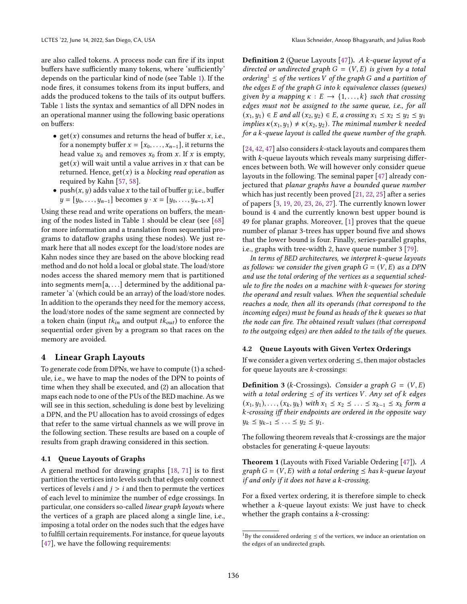are also called tokens. A process node can fire if its input buffers have sufficiently many tokens, where 'sufficiently' depends on the particular kind of node (see Table [1\)](#page-2-0). If the node fires, it consumes tokens from its input buffers, and adds the produced tokens to the tails of its output buffers. Table [1](#page-2-0) lists the syntax and semantics of all DPN nodes in an operational manner using the following basic operations on buffers:

- get(x) consumes and returns the head of buffer x, i.e., for a nonempty buffer  $x = [x_0, \ldots, x_{n-1}]$ , it returns the head value  $x_0$  and removes  $x_0$  from x. If x is empty,  $get(x)$  will wait until a value arrives in x that can be returned. Hence,  $get(x)$  is a blocking read operation as required by Kahn [\[57,](#page-12-21) [58\]](#page-12-22).
- push $(x, y)$  adds value x to the tail of buffer y; i.e., buffer  $y = [y_0, \ldots, y_{n-1}]$  becomes  $y \cdot x = [y_0, \ldots, y_{n-1}, x]$

Using these read and write operations on buffers, the meaning of the nodes listed in Table [1](#page-2-0) should be clear (see [\[68\]](#page-12-14) for more information and a translation from sequential programs to dataflow graphs using these nodes). We just remark here that all nodes except for the load/store nodes are Kahn nodes since they are based on the above blocking read method and do not hold a local or global state. The load/store nodes access the shared memory mem that is partitioned into segments mem $[a, \ldots]$  determined by the additional parameter 'a' (which could be an array) of the load/store nodes. In addition to the operands they need for the memory access, the load/store nodes of the same segment are connected by a token chain (input  $tk_{in}$  and output  $tk_{out}$ ) to enforce the sequential order given by a program so that races on the memory are avoided.

#### <span id="page-3-0"></span>4 Linear Graph Layouts

To generate code from DPNs, we have to compute (1) a schedule, i.e., we have to map the nodes of the DPN to points of time when they shall be executed, and (2) an allocation that maps each node to one of the PUs of the BED machine. As we will see in this section, scheduling is done best by levelizing a DPN, and the PU allocation has to avoid crossings of edges that refer to the same virtual channels as we will prove in the following section. These results are based on a couple of results from graph drawing considered in this section.

## 4.1 Queue Layouts of Graphs

A general method for drawing graphs [\[18,](#page-11-15) [71\]](#page-12-23) is to first partition the vertices into levels such that edges only connect vertices of levels *i* and  $j > i$  and then to permute the vertices of each level to minimize the number of edge crossings. In particular, one considers so-called linear graph layouts where the vertices of a graph are placed along a single line, i.e., imposing a total order on the nodes such that the edges have to fulfill certain requirements. For instance, for queue layouts [\[47\]](#page-12-24), we have the following requirements:

<span id="page-3-2"></span>**Definition 2** (Oueue Layouts [\[47\]](#page-12-24)). A  $k$ -queue layout of a directed or undirected graph  $G = (V, E)$  is given by a total ordering<sup>[1](#page-3-1)</sup>  $\leq$  of the vertices V of the graph G and a partition of the edges  $E$  of the graph  $G$  into  $k$  equivalence classes (queues) given by a mapping  $\kappa : E \to \{1, ..., k\}$  such that crossing edges must not be assigned to the same queue, i.e., for all  $(x_1, y_1) \in E$  and all  $(x_2, y_2) \in E$ , a crossing  $x_1 \le x_2 \le y_2 \le y_1$ implies  $\kappa(x_1, y_1) \neq \kappa(x_2, y_2)$ . The minimal number k needed for a  $k$ -queue layout is called the queue number of the graph.

[\[24,](#page-11-16) [42,](#page-12-25) [47\]](#page-12-24) also considers  $k$ -stack layouts and compares them with  $k$ -queue layouts which reveals many surprising differences between both. We will however only consider queue layouts in the following. The seminal paper [\[47\]](#page-12-24) already conjectured that planar graphs have a bounded queue number which has just recently been proved [\[21,](#page-11-17) [22,](#page-11-18) [25\]](#page-11-19) after a series of papers [\[3,](#page-11-20) [19,](#page-11-21) [20,](#page-11-22) [23,](#page-11-23) [26,](#page-11-24) [27\]](#page-11-25). The currently known lower bound is 4 and the currently known best upper bound is 49 for planar graphs. Moreover, [\[1\]](#page-11-26) proves that the queue number of planar 3-trees has upper bound five and shows that the lower bound is four. Finally, series-parallel graphs, i.e., graphs with tree-width 2, have queue number 3 [\[79\]](#page-12-26).

In terms of BED architectures, we interpret  $k$ -queue layouts as follows: we consider the given graph  $G = (V, E)$  as a DPN and use the total ordering of the vertices as a sequential schedule to fire the nodes on a machine with  $k$ -queues for storing the operand and result values. When the sequential schedule reaches a node, then all its operands (that correspond to the incoming edges) must be found as heads of the k queues so that the node can fire. The obtained result values (that correspond to the outgoing edges) are then added to the tails of the queues.

#### 4.2 Queue Layouts with Given Vertex Orderings

If we consider a given vertex ordering  $\leq$ , then major obstacles for queue layouts are  $k$ -crossings:

**Definition 3** (*k*-Crossings). Consider a graph  $G = (V, E)$ with a total ordering  $\leq$  of its vertices V. Any set of  $k$  edges  $(x_1, y_1), \ldots, (x_k, y_k)$  with  $x_1 \le x_2 \le \ldots \le x_{k-1} \le x_k$  form a -crossing iff their endpoints are ordered in the opposite way  $y_k \leq y_{k-1} \leq \ldots \leq y_2 \leq y_1.$ 

The following theorem reveals that  $k$ -crossings are the major obstacles for generating  $k$ -queue layouts:

Theorem 1 (Layouts with Fixed Variable Ordering [\[47\]](#page-12-24)). A graph  $G = (V, E)$  with a total ordering  $\leq$  has k-queue layout if and only if it does not have a  $k$ -crossing.

For a fixed vertex ordering, it is therefore simple to check whether a  $k$ -queue layout exists: We just have to check whether the graph contains a  $k$ -crossing:

<span id="page-3-1"></span><sup>&</sup>lt;sup>1</sup>By the considered ordering  $\leq$  of the vertices, we induce an orientation on the edges of an undirected graph.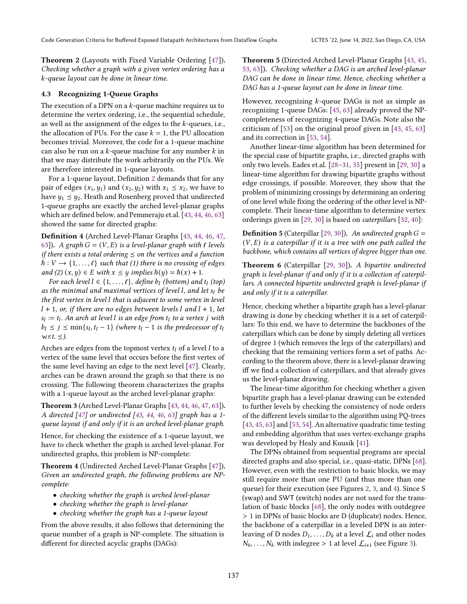Theorem 2 (Layouts with Fixed Variable Ordering [\[47\]](#page-12-24)). Checking whether a graph with a given vertex ordering has a -queue layout can be done in linear time.

#### 4.3 Recognizing 1-Queue Graphs

The execution of a DPN on a  $k$ -queue machine requires us to determine the vertex ordering, i.e., the sequential schedule, as well as the assignment of the edges to the  $k$ -queues, i.e., the allocation of PUs. For the case  $k = 1$ , the PU allocation becomes trivial. Moreover, the code for a 1-queue machine can also be run on a  $k$ -queue machine for any number  $k$  in that we may distribute the work arbitrarily on the PUs. We are therefore interested in 1-queue layouts.

For a 1-queue layout, Definition [2](#page-3-2) demands that for any pair of edges  $(x_1, y_1)$  and  $(x_2, y_2)$  with  $x_1 \le x_2$ , we have to have  $y_1 \leq y_2$ . Heath and Rosenberg proved that undirected 1-queue graphs are exactly the arched level-planar graphs which are defined below, and Pemmeraju et.al. [\[43,](#page-12-27) [44,](#page-12-28) [46,](#page-12-29) [63\]](#page-12-30) showed the same for directed graphs:

Definition 4 (Arched Level-Planar Graphs [\[43,](#page-12-27) [44,](#page-12-28) [46,](#page-12-29) [47,](#page-12-24) [63\]](#page-12-30)). A graph  $G = (V, E)$  is a level-planar graph with  $\ell$  levels if there exists a total ordering  $\leq$  on the vertices and a function  $\hbar : V \to \{1, \ldots, \ell\}$  such that (1) there is no crossing of edges and (2)  $(x, y) \in E$  with  $x \leq y$  implies  $\hbar(y) = \hbar(x) + 1$ .

For each level  $l \in \{1, ..., \ell\}$ , define  $b_l$  (bottom) and  $t_l$  (top) as the minimal and maximal vertices of level  $l$ , and let  $s_l$  be the first vertex in level l that is adjacent to some vertex in level  $l + 1$ , or, if there are no edges between levels l and  $l + 1$ , let  $s_l := t_l$ . An arch at level l is an edge from  $t_l$  to a vertex j with  $b_l \leq j \leq \min\{s_l, t_l - 1\}$  (where  $t_l - 1$  is the predecessor of  $t_l$  $w.r.t. \leq$ ).

Arches are edges from the topmost vertex  $t_l$  of a level  $l$  to a vertex of the same level that occurs before the first vertex of the same level having an edge to the next level [\[47\]](#page-12-24). Clearly, arches can be drawn around the graph so that there is no crossing. The following theorem characterizes the graphs with a 1-queue layout as the arched level-planar graphs:

<span id="page-4-0"></span>Theorem 3 (Arched Level-Planar Graphs [\[43,](#page-12-27) [44,](#page-12-28) [46,](#page-12-29) [47,](#page-12-24) [63\]](#page-12-30)). A directed  $[47]$  or undirected  $[43, 44, 46, 63]$  $[43, 44, 46, 63]$  $[43, 44, 46, 63]$  $[43, 44, 46, 63]$  $[43, 44, 46, 63]$  $[43, 44, 46, 63]$  graph has a 1queue layout if and only if it is an arched level-planar graph.

Hence, for checking the existence of a 1-queue layout, we have to check whether the graph is arched level-planar. For undirected graphs, this problem is NP-complete:

Theorem 4 (Undirected Arched Level-Planar Graphs [\[47\]](#page-12-24)). Given an undirected graph, the following problems are NPcomplete:

- checking whether the graph is arched level-planar
- checking whether the graph is level-planar
- checking whether the graph has a 1-queue layout

From the above results, it also follows that determining the queue number of a graph is NP-complete. The situation is different for directed acyclic graphs (DAGs):

<span id="page-4-1"></span>Theorem 5 (Directed Arched Level-Planar Graphs [\[43,](#page-12-27) [45,](#page-12-31) [53,](#page-12-32) [63\]](#page-12-30)). Checking whether a DAG is an arched level-planar DAG can be done in linear time. Hence, checking whether a DAG has a 1-queue layout can be done in linear time.

However, recognizing  $k$ -queue DAGs is not as simple as recognizing 1-queue DAGs: [\[45,](#page-12-31) [63\]](#page-12-30) already proved the NPcompleteness of recognizing 4-queue DAGs. Note also the criticism of [\[53\]](#page-12-32) on the original proof given in [\[43,](#page-12-27) [45,](#page-12-31) [63\]](#page-12-30) and its correction in [\[53,](#page-12-32) [54\]](#page-12-33).

Another linear-time algorithm has been determined for the special case of bipartite graphs, i.e., directed graphs with only two levels. Eades et.al.  $[28-31, 35]$  $[28-31, 35]$  present in  $[29, 30]$  $[29, 30]$  a linear-time algorithm for drawing bipartite graphs without edge crossings, if possible. Moreover, they show that the problem of minimizing crossings by determining an ordering of one level while fixing the ordering of the other level is NPcomplete. Their linear-time algorithm to determine vertex orderings given in [\[29,](#page-11-30) [30\]](#page-11-31) is based on caterpillars [\[32,](#page-11-32) [40\]](#page-11-33):

**Definition 5** (Caterpillar [\[29,](#page-11-30) [30\]](#page-11-31)). An undirected graph  $G =$  $(V, E)$  is a caterpillar if it is a tree with one path called the backbone, which contains all vertices of degree bigger than one.

Theorem 6 (Caterpillar [\[29,](#page-11-30) [30\]](#page-11-31)). A bipartite undirected graph is level-planar if and only if it is a collection of caterpillars. A connected bipartite undirected graph is level-planar if and only if it is a caterpillar.

Hence, checking whether a bipartite graph has a level-planar drawing is done by checking whether it is a set of caterpillars: To this end, we have to determine the backbones of the caterpillars which can be done by simply deleting all vertices of degree 1 (which removes the legs of the caterpillars) and checking that the remaining vertices form a set of paths. According to the theorem above, there is a level-planar drawing iff we find a collection of caterpillars, and that already gives us the level-planar drawing.

The linear-time algorithm for checking whether a given bipartite graph has a level-planar drawing can be extended to further levels by checking the consistency of node orders of the different levels similar to the algorithm using PQ-trees [\[43,](#page-12-27) [45,](#page-12-31) [63\]](#page-12-30) and [\[53,](#page-12-32) [54\]](#page-12-33). An alternative quadratic time testing and embedding algorithm that uses vertex-exchange graphs was developed by Healy and Kuusik [\[41\]](#page-12-34).

The DPNs obtained from sequential programs are special directed graphs and also special, i.e., quasi-static, DPNs [\[68\]](#page-12-14). However, even with the restriction to basic blocks, we may still require more than one PU (and thus more than one queue) for their execution (see Figures [2,](#page-7-0) [3,](#page-7-1) and [4\)](#page-8-0). Since S (swap) and SWT (switch) nodes are not used for the translation of basic blocks [\[68\]](#page-12-14), the only nodes with outdegree > 1 in DPNs of basic blocks are D (duplicate) nodes. Hence, the backbone of a caterpillar in a leveled DPN is an interleaving of D nodes  $D_1, \ldots, D_k$  at a level  $\mathcal{L}_i$  and other nodes  $N_0, \ldots, N_k$  with indegree > 1 at level  $\mathcal{L}_{i+1}$  (see Figure [3\)](#page-7-1).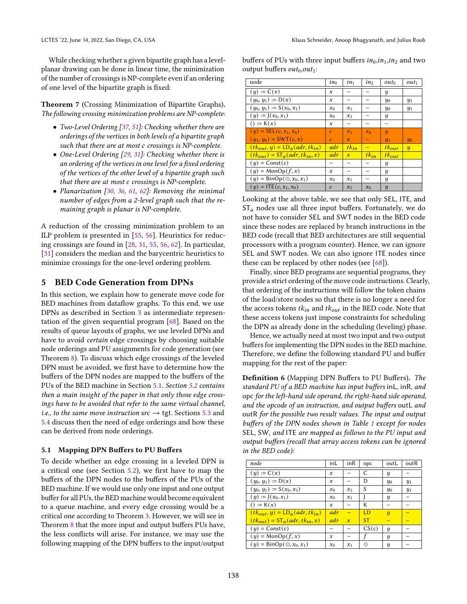While checking whether a given bipartite graph has a levelplanar drawing can be done in linear time, the minimization of the number of crossings is NP-complete even if an ordering of one level of the bipartite graph is fixed:

Theorem 7 (Crossing Minimization of Bipartite Graphs). The following crossing minimization problems are NP-complete:

- Two-Level Ordering [\[37,](#page-11-34) [51\]](#page-12-35): Checking whether there are orderings of the vertices in both levels of a bipartite graph such that there are at most c crossings is NP-complete.
- One-Level Ordering [\[29,](#page-11-30) [31\]](#page-11-28): Checking whether there is an ordering of the vertices in one level for a fixed ordering of the vertices of the other level of a bipartite graph such that there are at most  $c$  crossings is NP-complete.
- Planarization [\[30,](#page-11-31) [36,](#page-11-35) [61,](#page-12-36) [62\]](#page-12-37): Removing the minimal number of edges from a 2-level graph such that the remaining graph is planar is NP-complete.

A reduction of the crossing minimization problem to an ILP problem is presented in [\[55,](#page-12-38) [56\]](#page-12-39). Heuristics for reducing crossings are found in [\[28,](#page-11-27) [31,](#page-11-28) [55,](#page-12-38) [56,](#page-12-39) [62\]](#page-12-37). In particular, [\[31\]](#page-11-28) considers the median and the barycentric heuristics to minimize crossings for the one-level ordering problem.

## <span id="page-5-0"></span>5 BED Code Generation from DPNs

In this section, we explain how to generate move code for BED machines from dataflow graphs. To this end, we use DPNs as described in Section [3](#page-2-2) as intermediate representation of the given sequential program [\[68\]](#page-12-14). Based on the results of queue layouts of graphs, we use leveled DPNs and have to avoid certain edge crossings by choosing suitable node orderings and PU assignments for code generation (see Theorem [8\)](#page-6-0). To discuss which edge crossings of the leveled DPN must be avoided, we first have to determine how the buffers of the DPN nodes are mapped to the buffers of the PUs of the BED machine in Section [5.1.](#page-5-1) Section [5.2](#page-6-1) contains then a main insight of the paper in that only those edge crossings have to be avoided that refer to the same virtual channel, i.e., to the same move instruction src  $\rightarrow$  tgt. Sections [5.3](#page-6-2) and [5.4](#page-7-2) discuss then the need of edge orderings and how these can be derived from node orderings.

#### <span id="page-5-1"></span>5.1 Mapping DPN Buffers to PU Buffers

To decide whether an edge crossing in a leveled DPN is a critical one (see Section [5.2\)](#page-6-1), we first have to map the buffers of the DPN nodes to the buffers of the PUs of the BED machine. If we would use only one input and one output buffer for all PUs, the BED machine would become equivalent to a queue machine, and every edge crossing would be a critical one according to Theorem [3.](#page-4-0) However, we will see in Theorem [8](#page-6-0) that the more input and output buffers PUs have, the less conflicts will arise. For instance, we may use the following mapping of the DPN buffers to the input/output

buffers of PUs with three input buffers  $in_0, in_1, in_2$  and two output buffers  $out_0, out_1$ :

| node                                           | $in_0$           | $in_1$       | in <sub>2</sub> | $out_0$                    | $out_1$             |
|------------------------------------------------|------------------|--------------|-----------------|----------------------------|---------------------|
| $(y) := C(x)$                                  | $\boldsymbol{x}$ |              |                 | y                          |                     |
| $(y_0, y_1) := D(x)$                           | x                |              |                 | $y_0$                      | $y_1$               |
| $(y_0, y_1) := S(x_0, x_1)$                    | $x_0$            | $x_1$        |                 | $y_0$                      | $y_1$               |
| $(y) := J(x_0, x_1)$                           | $x_0$            | $x_1$        |                 | y                          |                     |
| $() := K(x)$                                   | x                |              |                 |                            |                     |
| $(y) = \text{SEL}(c, x_1, x_0)$                | $\boldsymbol{c}$ | $x_1$        | $x_0$           | $\boldsymbol{\mathcal{U}}$ |                     |
| $(y_1, y_0) = \text{SWT}(c, x)$                | $\mathcal{C}$    | $\mathbf{x}$ |                 | $y_1$                      | $\frac{1}{10}$      |
| $(tk_{out}, y) = LD_a(adr, tk_{in})$           | adr              | $tk_{in}$    |                 | $tk_{out}$                 | $\boldsymbol{\eta}$ |
| $(tk_{out}) = \mathcal{ST}_a(adr, tk_{in}, x)$ | adr              | $\mathbf{x}$ | $tk_{in}$       | $tk_{out}$                 |                     |
| $(y) = Const(c)$                               |                  |              |                 | ч                          |                     |
| $(y) = \text{MonOp}(f, x)$                     | x                |              |                 | ч                          |                     |
| $(y) = \text{BinOp}(\odot, x_0, x_1)$          | $x_0$            | $x_1$        |                 | ч                          |                     |
| $(y) = \text{ITE}(c, x_1, x_0)$                | $\mathcal{C}$    | $x_1$        | $x_0$           | $\overline{y}$             |                     |

Looking at the above table, we see that only SEL, ITE, and  $ST_a$  nodes use all three input buffers. Fortunately, we do not have to consider SEL and SWT nodes in the BED code since these nodes are replaced by branch instructions in the BED code (recall that BED architectures are still sequential processors with a program counter). Hence, we can ignore SEL and SWT nodes. We can also ignore ITE nodes since these can be replaced by other nodes (see [\[68\]](#page-12-14)).

Finally, since BED programs are sequential programs, they provide a strict ordering of the move code instructions. Clearly, that ordering of the instructions will follow the token chains of the load/store nodes so that there is no longer a need for the access tokens  $tk_{in}$  and  $tk_{out}$  in the BED code. Note that these access tokens just impose constraints for scheduling the DPN as already done in the scheduling (leveling) phase.

Hence, we actually need at most two input and two output buffers for implementing the DPN nodes in the BED machine. Therefore, we define the following standard PU and buffer mapping for the rest of the paper:

<span id="page-5-2"></span>Definition 6 (Mapping DPN Buffers to PU Buffers). The standard PU of a BED machine has input buffers inL, inR, and opc for the left-hand side operand, the right-hand side operand, and the opcode of an instruction, and output buffers outL and outR for the possible two result values. The input and output buffers of the DPN nodes shown in Table [1](#page-2-0) except for nodes SEL, SW, and ITE are mapped as follows to the PU input and output buffers (recall that array access tokens can be ignored in the BED code):

| node                                     | inL              | inR          | opc       | outL                   | outR  |
|------------------------------------------|------------------|--------------|-----------|------------------------|-------|
| $(y) := C(x)$                            | $\boldsymbol{x}$ |              | C         | y                      |       |
| $(y_0, y_1) := D(x)$                     | $\mathbf{x}$     |              | D         | $\frac{u_0}{\sqrt{2}}$ | $y_1$ |
| $(y_0, y_1) := S(x_0, x_1)$              | $x_0$            | $x_1$        | S         | $y_0$                  | $y_1$ |
| $(y) := J(x_0, x_1)$                     | $x_0$            | $x_1$        |           | ч                      |       |
| $() := K(x)$                             | $\mathbf{x}$     |              | К         |                        |       |
| $(tk_{out}, y) = LD_a(adr, tk_{in})$     | adr              |              | LD        | $\boldsymbol{y}$       |       |
| $(tk_{out}) = ST_a(adr, tk_{in}, x)$     | adr              | $\mathbf{x}$ | <b>ST</b> |                        |       |
| $(y) = Const(c)$                         |                  |              | CS(c)     | ч                      |       |
| $(y) = \text{MonOp}(f, x)$               | $\mathbf{x}$     |              |           | y                      |       |
| $(y) = \text{BinOp}(\bigcirc, x_0, x_1)$ | $x_0$            | $x_1$        | ⊙         | y                      |       |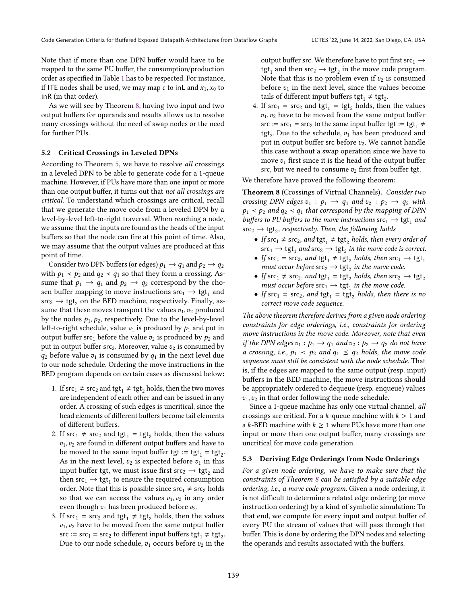Note that if more than one DPN buffer would have to be mapped to the same PU buffer, the consumption/production order as specified in Table [1](#page-2-0) has to be respected. For instance, if ITE nodes shall be used, we may map  $c$  to inL and  $x_1, x_0$  to inR (in that order).

As we will see by Theorem [8,](#page-6-0) having two input and two output buffers for operands and results allows us to resolve many crossings without the need of swap nodes or the need for further PUs.

#### <span id="page-6-1"></span>5.2 Critical Crossings in Leveled DPNs

According to Theorem [5,](#page-4-1) we have to resolve all crossings in a leveled DPN to be able to generate code for a 1-queue machine. However, if PUs have more than one input or more than one output buffer, it turns out that not all crossings are critical. To understand which crossings are critical, recall that we generate the move code from a leveled DPN by a level-by-level left-to-right traversal. When reaching a node, we assume that the inputs are found as the heads of the input buffers so that the node can fire at this point of time. Also, we may assume that the output values are produced at this point of time.

Consider two DPN buffers (or edges)  $p_1 \rightarrow q_1$  and  $p_2 \rightarrow q_2$ with  $p_1 < p_2$  and  $q_2 < q_1$  so that they form a crossing. Assume that  $p_1 \rightarrow q_1$  and  $p_2 \rightarrow q_2$  correspond by the chosen buffer mapping to move instructions  $src_1 \rightarrow \text{tgt}_1$  and  $\text{src}_2 \rightarrow \text{tgt}_2$  on the BED machine, respectively. Finally, assume that these moves transport the values  $v_1$ ,  $v_2$  produced by the nodes  $p_1, p_2$ , respectively. Due to the level-by-level left-to-right schedule, value  $v_1$  is produced by  $p_1$  and put in output buffer src<sub>1</sub> before the value  $v_2$  is produced by  $p_2$  and put in output buffer  $src_2$ . Moreover, value  $v_2$  is consumed by  $q_2$  before value  $v_1$  is consumed by  $q_1$  in the next level due to our node schedule. Ordering the move instructions in the BED program depends on certain cases as discussed below:

- 1. If  $src_1 \neq src_2$  and  $tgt_1 \neq tgt_2$  holds, then the two moves are independent of each other and can be issued in any order. A crossing of such edges is uncritical, since the head elements of different buffers become tail elements of different buffers.
- 2. If  $src_1 \neq src_2$  and  $tgt_1 = tgt_2$  holds, then the values  $v_1, v_2$  are found in different output buffers and have to be moved to the same input buffer tgt := tgt<sub>1</sub> = tgt<sub>2</sub>. As in the next level,  $v_2$  is expected before  $v_1$  in this input buffer tgt, we must issue first src $_2 \rightarrow \text{tgt}_2$  and then  $\operatorname{src}_1 \to \operatorname{tgt}_1$  to ensure the required consumption order. Note that this is possible since  $src_1 \neq src_2$  holds so that we can access the values  $v_1, v_2$  in any order even though  $v_1$  has been produced before  $v_2$ .
- 3. If  $src_1 = src_2$  and  $tgt_1 \neq tgt_2$  holds, then the values  $v_1, v_2$  have to be moved from the same output buffer  $\text{src} := \text{src}_1 = \text{src}_2$  to different input buffers  $\text{tgt}_1 \neq \text{tgt}_2$ . Due to our node schedule,  $v_1$  occurs before  $v_2$  in the

output buffer src. We therefore have to put first src<sub>1</sub>  $\rightarrow$ tgt<sub>1</sub> and then src<sub>2</sub>  $\rightarrow$  tgt<sub>2</sub> in the move code program. Note that this is no problem even if  $v_2$  is consumed before  $v_1$  in the next level, since the values become tails of different input buffers tgt<sub>1</sub>  $\neq$  tgt<sub>2</sub>.

4. If  $src_1 = src_2$  and  $tgt_1 = tgt_2$  holds, then the values  $v_1, v_2$  have to be moved from the same output buffer src :=  $src_1$  =  $src_2$  to the same input buffer tgt := tgt<sub>1</sub>  $\neq$ tgt<sub>2</sub>. Due to the schedule,  $v_1$  has been produced and put in output buffer src before  $v_2$ . We cannot handle this case without a swap operation since we have to move  $v_1$  first since it is the head of the output buffer src, but we need to consume  $v_2$  first from buffer tgt.

We therefore have proved the following theorem:

<span id="page-6-0"></span>Theorem 8 (Crossings of Virtual Channels). Consider two crossing DPN edges  $v_1 : p_1 \rightarrow q_1$  and  $v_2 : p_2 \rightarrow q_2$  with  $p_1 \lt p_2$  and  $q_2 \lt q_1$  that correspond by the mapping of DPN buffers to PU buffers to the move instructions  $src_1 \rightarrow \text{tgt}_1$  and  $\text{src}_2 \rightarrow \text{tgt}_2$ , respectively. Then, the following holds

- If  $src_1 \neq src_2$ , and  $tgt_1 \neq tgt_2$  holds, then every order of  $\text{src}_1 \rightarrow \text{tgt}_1$  and  $\text{src}_2 \rightarrow \text{tgt}_2$  in the move code is correct.
- If  $src_1 = src_2$ , and  $tgt_1 \neq tgt_2$  holds, then  $src_1 \rightarrow tgt_1$ must occur before  $\text{src}_2 \rightarrow \text{tgt}_2$  in the move code.
- If  $\text{src}_1 \neq \text{src}_2$ , and  $\text{tgt}_1 = \text{tgt}_2$  holds, then  $\text{src}_2 \rightarrow \text{tgt}_2$ must occur before  $\text{src}_1 \rightarrow \text{tgt}_1$  in the move code.
- If  $src_1 = src_2$ , and  $tgt_1 = tst_2$  holds, then there is no correct move code sequence.

The above theorem therefore derives from a given node ordering constraints for edge orderings, i.e., constraints for ordering move instructions in the move code. Moreover, note that even *if the DPN edges*  $v_1 : p_1 \rightarrow q_1$  *and*  $v_2 : p_2 \rightarrow q_2$  *do not have* a crossing, i.e.,  $p_1 \prec p_2$  and  $q_1 \leq q_2$  holds, the move code sequence must still be consistent with the node schedule. That is, if the edges are mapped to the same output (resp. input) buffers in the BED machine, the move instructions should be appropriately ordered to dequeue (resp. enqueue) values  $v_1, v_2$  in that order following the node schedule.

Since a 1-queue machine has only one virtual channel, all crossings are critical. For a  $k$ -queue machine with  $k > 1$  and a k-BED machine with  $k \geq 1$  where PUs have more than one input or more than one output buffer, many crossings are uncritical for move code generation.

#### <span id="page-6-2"></span>5.3 Deriving Edge Orderings from Node Orderings

For a given node ordering, we have to make sure that the constraints of Theorem [8](#page-6-0) can be satisfied by a suitable edge ordering, i.e., a move code program. Given a node ordering, it is not difficult to determine a related edge ordering (or move instruction ordering) by a kind of symbolic simulation: To that end, we compute for every input and output buffer of every PU the stream of values that will pass through that buffer. This is done by ordering the DPN nodes and selecting the operands and results associated with the buffers.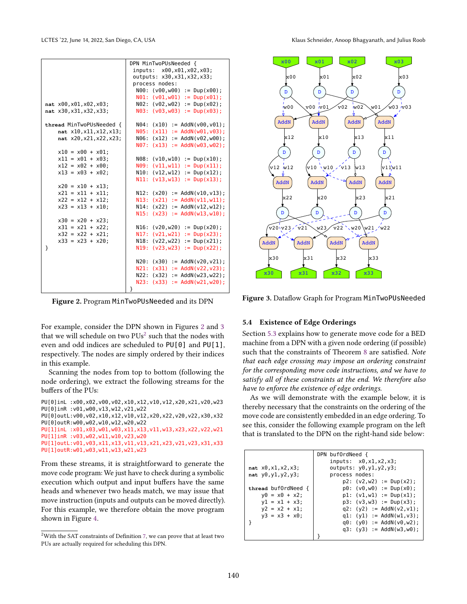<span id="page-7-0"></span>

|                          | DPN MinTwoPUsNeeded {                   |  |  |  |  |
|--------------------------|-----------------------------------------|--|--|--|--|
|                          | inputs: x00,x01,x02,x03;                |  |  |  |  |
|                          | outputs: x30, x31, x32, x33;            |  |  |  |  |
|                          | process nodes:                          |  |  |  |  |
|                          | $N00$ : ( $V00, W00$ ) := Dup( $X00$ ); |  |  |  |  |
|                          | $N01: (v01,w01) := Dup(x01);$           |  |  |  |  |
| nat x00, x01, x02, x03;  | $N02: (v02, w02) := Dup(x02);$          |  |  |  |  |
| nat x30, x31, x32, x33;  | $N03: (v03, w03) := Dup(x03);$          |  |  |  |  |
|                          |                                         |  |  |  |  |
| thread MinTwoPUsNeeded { | N04:<br>$(x10) := AddN(v00, v01);$      |  |  |  |  |
| nat x10, x11, x12, x13;  | N05:<br>$(x11) := AddN(w01, v03)$ ;     |  |  |  |  |
| nat x20, x21, x22, x23;  | $(x12) := AddN(v02, w00)$ ;<br>N06:     |  |  |  |  |
|                          | $(x13) := AddN(w03, w02)$ ;<br>N07:     |  |  |  |  |
| $x10 = x00 + x01$ ;      |                                         |  |  |  |  |
| $x11 = x01 + x03$ ;      | N08:<br>$(v10,w10) := Dup(x10);$        |  |  |  |  |
| $x12 = x02 + x00$ ;      | N09:<br>$(v11,w11) := Dup(x11)$ ;       |  |  |  |  |
| $x13 = x03 + x02$ ;      | $(v12,w12) := Dup(x12)$ ;<br>N10:       |  |  |  |  |
|                          | N11:<br>$(v13,w13) := Dup(x13)$ ;       |  |  |  |  |
| $x20 = x10 + x13$ ;      |                                         |  |  |  |  |
| $x21 = x11 + x11$ ;      | N12:<br>$(x20) := AddN(v10, v13);$      |  |  |  |  |
| $x22 = x12 + x12$ ;      | N13:<br>$(x21) := AddN(v11, w11);$      |  |  |  |  |
| $x23 = x13 + x10$ ;      | $(x22) := AddN(v12, w12);$<br>N14:      |  |  |  |  |
|                          | N15:<br>$(x23) := AddN(w13, w10)$ ;     |  |  |  |  |
| $x30 = x20 + x23$ ;      |                                         |  |  |  |  |
| $x31 = x21 + x22$ ;      | N16:<br>$(v20, w20) := Dup(x20);$       |  |  |  |  |
| $x32 = x22 + x21$ ;      | N17:<br>$(v21,w21) := Dup(x23);$        |  |  |  |  |
| $x33 = x23 + x20$ ;      | $(v22, w22) := Dup(x21);$<br>N18:       |  |  |  |  |
| }                        | N19:<br>$(v23, w23) := Dup(x22);$       |  |  |  |  |
|                          |                                         |  |  |  |  |
|                          | N20:<br>$(x30) := AddN(v20, v21)$ ;     |  |  |  |  |
|                          | N21:<br>$(x31) := AddN(v22, v23)$ ;     |  |  |  |  |
|                          | $(x32) := AddN(w23, w22);$<br>N22:      |  |  |  |  |
|                          | N23:<br>$(x33) := AddN(w21, w20)$ ;     |  |  |  |  |
|                          | }                                       |  |  |  |  |

Figure 2. Program MinTwoPUsNeeded and its DPN

For example, consider the DPN shown in Figures [2](#page-7-0) and [3](#page-7-1) that we will schedule on two  $PUs^2$  $PUs^2$  such that the nodes with even and odd indices are scheduled to PU[0] and PU[1], respectively. The nodes are simply ordered by their indices in this example.

Scanning the nodes from top to bottom (following the node ordering), we extract the following streams for the buffers of the PUs:

```
PU[0]inL :x00,x02,v00,v02,x10,x12,v10,v12,x20,x21,v20,w23
PU[0]inR :v01,w00,v13,w12,v21,w22
PU[0]outL:v00,v02,x10,x12,v10,v12,x20,x22,v20,v22,x30,x32
PU[0]outR:w00,w02,w10,w12,w20,w22
PU[1]inL :x01,x03,w01,w03,x11,x13,v11,w13,x23,x22,v22,w21
PU[1]inR :v03,w02,w11,w10,v23,w20
PU[1]outL:v01,v03,x11,x13,v11,v13,x21,x23,v21,v23,x31,x33
PU[1]outR:w01,w03,w11,w13,w21,w23
```
From these streams, it is straightforward to generate the move code program: We just have to check during a symbolic execution which output and input buffers have the same heads and whenever two heads match, we may issue that move instruction (inputs and outputs can be moved directly). For this example, we therefore obtain the move program shown in Figure [4.](#page-8-0)

<span id="page-7-1"></span>

Figure 3. Dataflow Graph for Program MinTwoPUsNeeded

#### <span id="page-7-2"></span>5.4 Existence of Edge Orderings

Section [5.3](#page-6-2) explains how to generate move code for a BED machine from a DPN with a given node ordering (if possible) such that the constraints of Theorem [8](#page-6-0) are satisfied. Note that each edge crossing may impose an ordering constraint for the corresponding move code instructions, and we have to satisfy all of these constraints at the end. We therefore also have to enforce the existence of edge orderings.

As we will demonstrate with the example below, it is thereby necessary that the constraints on the ordering of the move code are consistently embedded in an edge ordering. To see this, consider the following example program on the left that is translated to the DPN on the right-hand side below:

|                     | DPN buf0rdNeed {             |
|---------------------|------------------------------|
|                     | inputs: x0, x1, x2, x3;      |
| nat x0, x1, x2, x3; | outputs: y0, y1, y2, y3;     |
| nat y0, y1, y2, y3; | process nodes:               |
|                     | $p2: (v2,w2) := Dup(x2);$    |
| thread bufordNeed { | $p0: (v0,w0) := Dup(x0);$    |
| $y0 = x0 + x2$ ;    | $p1: (v1,w1) := Dup(x1);$    |
| $y1 = x1 + x3$ ;    | $p3: (v3,w3) := Dup(x3);$    |
| $y2 = x2 + x1$ ;    | $q2: (y2) := AddN(v2, v1);$  |
| $y3 = x3 + x0$ ;    | q1: $(y1) := AddN(w1, v3)$ ; |
|                     | $q0: (y0) := AddN(v0,w2)$ ;  |
|                     | $q3: (y3) := AddN(w3, w0);$  |
|                     |                              |

<span id="page-7-3"></span> $^{2}$ With the SAT constraints of Definition [7,](#page-9-1) we can prove that at least two PUs are actually required for scheduling this DPN.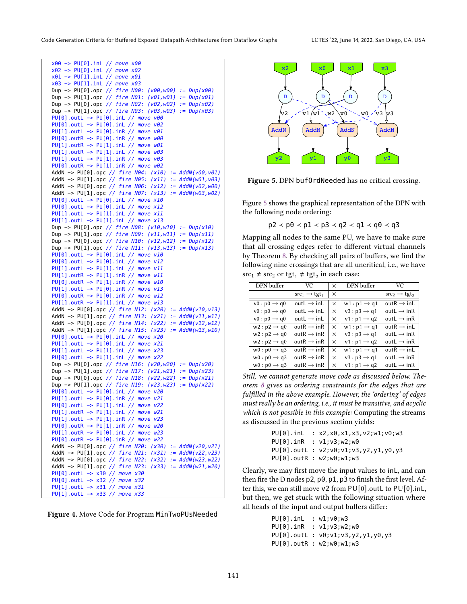```
x00 −> PU[0].inL // move x00
x02 −> PU[0].inL // move x02
x01 −> PU[1].inL // move x01
x03 −> PU[1].inL // move x03
Dup −> PU[0].opc // fire N00: (v00,w00) := Dup(x00)
Dup −> PU[1].opc // fire N01: (v01,w01) := Dup(x01)
Dup −> PU[0].opc // fire N02: (v02,w02) := Dup(x02)
Dup −> PU[1].opc // fire N03: (v03,w03) := Dup(x03)
PU[0].outL -> PU[0].inL // move v00
PU[0].outL −> PU[0].inL // move v02
PU[1].outL -> PU[0].inR // move v01
PU[0].outR -> PU[0].inR // move w00
PU[1].outR -> PU[1].inL // move w01
PU[1].outR −> PU[1].inL // move w03
PU[1].outL -> PU[1].inR // move v03
PU[0].outR −> PU[1].inR // move w02
AddN -> PU[0].opc // fire N04: (x10) := AddN(v00,v01)
AddN -> PU[1].opc // fire N05: (x11) := AddN(w01, v03)
AddN -> PU[0].opc // fire N06: (x12) := AddN(v02,w00)
AddN −> PU[1].opc // fire N07: (x13) := AddN(w03,w02)
PU[0].outL -> PU[0].inL // move x10
PU[0].outL −> PU[0].inL // move x12
PU[1].outL −> PU[1].inL // move x11
PU[1].outL −> PU[1].inL // move x13
Dup −> PU[0].opc // fire N08: (v10,w10) := Dup(x10)
Dup −> PU[1].opc // fire N09: (v11,w11) := Dup(x11)
Dup −> PU[0].opc // fire N10: (v12,w12) := Dup(x12)
Dup −> PU[1].opc // fire N11: (v13,w13) := Dup(x13)
PU[0].outL −> PU[0].inL // move v10
PU[0].outL −> PU[0].inL // move v12
PU[1].outL -> PU[1].inL // move v11
PU[1].outR −> PU[1].inR // move w11
PU[0].outR -> PU[1].inR // move w10
PU[1].outL −> PU[0].inR // move v13
PU[0].outR −> PU[0].inR // move w12
PU[1].outR −> PU[1].inL // move w13
AddN -> PU[0].opc // fire N12: (x20) := AddN(v10,v13)
AddN −> PU[1].opc // fire N13: (x21) := AddN(v11,w11)
AddN −> PU[0].opc // fire N14: (x22) := AddN(v12,w12)
AddN −> PU[1].opc // fire N15: (x23) := AddN(w13,w10)
PU[0].outL −> PU[0].inL // move x20
PU[1].outL −> PU[0].inL // move x21
PU[1].outL −> PU[1].inL // move x23
PU[0].outL −> PU[1].inL // move x22
Dup −> PU[0].opc // fire N16: (v20,w20) := Dup(x20)
Dup −> PU[1].opc // fire N17: (v21,w21) := Dup(x23)
Dup −> PU[0].opc // fire N18: (v22,w22) := Dup(x21)
Dup −> PU[1].opc // fire N19: (v23,w23) := Dup(x22)
PU[0].outL -> PU[0].inL // move v20
PU[1].outL −> PU[0].inR // move v21
PU[0].outL -> PU[1].inL // move v22
PU[1].outR −> PU[1].inL // move w21
PU[1].outL −> PU[1].inR // move v23
PU[0].outR −> PU[1].inR // move w20
PU[1].outR −> PU[0].inL // move w23
PU[0].outR −> PU[0].inR // move w22
AddN −> PU[0].opc // fire N20: (x30) := AddN(v20,v21)
AddN -> PU[1].opc // fire N21: (x31) := AddN(v22,v23)
AddN −> PU[0].opc // fire N22: (x32) := AddN(w23,w22)
AddN −> PU[1].opc // fire N23: (x33) := AddN(w21,w20)
PU[0].outL −> x30 // move x30
PU[0].outL −> x32 // move x32
PU[1].outL -> x31 // move x31
PU[1].outL −> x33 // move x33
```


<span id="page-8-1"></span>

Figure 5. DPN buf0rdNeeded has no critical crossing.

Figure [5](#page-8-1) shows the graphical representation of the DPN with the following node ordering:

$$
p2 < p0 < p1 < p3 < q2 < q1 < q0 < q3
$$

Mapping all nodes to the same PU, we have to make sure that all crossing edges refer to different virtual channels by Theorem [8.](#page-6-0) By checking all pairs of buffers, we find the following nine crossings that are all uncritical, i.e., we have  $\text{src}_1 \neq \text{src}_2 \text{ or } \text{tgt}_1 \neq \text{tgt}_2 \text{ in each case:}$ 

| DPN buffer               | VC.                              | $\times$ | DPN buffer               | VC.                              |
|--------------------------|----------------------------------|----------|--------------------------|----------------------------------|
|                          | $src_1 \rightarrow \text{tgt}_1$ | $\times$ |                          | $src_2 \rightarrow \text{tgt}_2$ |
| $v0: p0 \rightarrow q0$  | out $L \rightarrow \text{in} L$  | X        | $w1 : p1 \rightarrow q1$ | outR $\rightarrow$ inL           |
| $v0: p0 \rightarrow q0$  | out $L \rightarrow \text{in} L$  | $\times$ | $v3 : p3 \rightarrow q1$ | outL $\rightarrow$ inR           |
| $v0: p0 \rightarrow q0$  | out $L \rightarrow \text{in} L$  | $\times$ | $v1 : p1 \rightarrow q2$ | outL $\rightarrow$ inR           |
| $w2:p2 \rightarrow q0$   | $outR \rightarrow inR$           | $\times$ | $w1 : p1 \rightarrow q1$ | outR $\rightarrow$ inL           |
| $w2 : p2 \rightarrow q0$ | outR $\rightarrow$ inR           | $\times$ | $v3 : p3 \rightarrow q1$ | outL $\rightarrow$ inR           |
| $w2:p2 \rightarrow q0$   | outR $\rightarrow$ inR           | $\times$ | $v1 : p1 \rightarrow q2$ | outL $\rightarrow$ inR           |
| $w0:p0 \rightarrow q3$   | $outR \rightarrow inR$           | $\times$ | $w1 : p1 \rightarrow q1$ | outR $\rightarrow$ inL           |
| $w0:p0 \rightarrow q3$   | outR $\rightarrow$ inR           | $\times$ | $v3 : p3 \rightarrow q1$ | outL $\rightarrow$ inR           |
| $w0: p0 \rightarrow q3$  | out $R \rightarrow$ in R         | $\times$ | $v1 : p1 \rightarrow q2$ | outL $\rightarrow$ inR           |

Still, we cannot generate move code as discussed below. Theorem [8](#page-6-0) gives us ordering constraints for the edges that are fulfilled in the above example. However, the 'ordering' of edges must really be an ordering, i.e., it must be transitive, and acyclic which is not possible in this example: Computing the streams as discussed in the previous section yields:

```
PU[0].inL : x2,x0,x1,x3,v2;w1;v0;w3
PU[0].inR : v1;v3;w2;w0
PU[0].outL : v2;v0;v1;v3,y2,y1,y0,y3
PU[0].outR : w2;w0;w1;w3
```
Clearly, we may first move the input values to inL, and can then fire the D nodes p2, p0, p1, p3 to finish the first level. After this, we can still move v2 from PU[0].outL to PU[0].inL, but then, we get stuck with the following situation where all heads of the input and output buffers differ:

```
PU[0].inL : w1;v0;w3
PU[0].inR : v1;v3;w2;w0
PU[0].outL : v0;v1;v3,y2,y1,y0,y3
PU[0].outR : w2;w0;w1;w3
```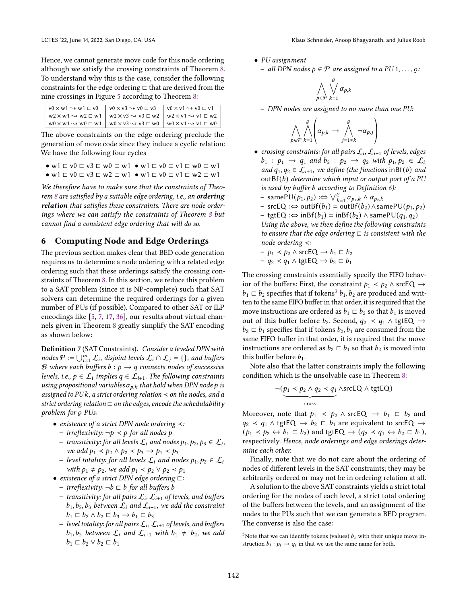Hence, we cannot generate move code for this node ordering although we satisfy the crossing constraints of Theorem [8.](#page-6-0) To understand why this is the case, consider the following constraints for the edge ordering ⊏ that are derived from the nine crossings in Figure [5](#page-8-1) according to Theorem [8:](#page-6-0)

| $w2 \times w1 \rightsquigarrow w2 \sqsubset w1$ $\big $ $w2 \times v3 \rightsquigarrow v3 \sqsubset w2$ $\big $ $w2 \times v1 \rightsquigarrow v1 \sqsubset w2$ $\big $ |  |
|-------------------------------------------------------------------------------------------------------------------------------------------------------------------------|--|
| $w0 \times w1 \rightarrow w0 \subseteq w1$ $\begin{array}{c c} \w0 \times v3 \rightarrow v3 \subseteq w0 \end{array}$ $w0 \times v1 \rightarrow v1 \subseteq w0$        |  |

The above constraints on the edge ordering preclude the generation of move code since they induce a cyclic relation: We have the following four cycles

- w1 ⊏ v0 ⊏ v3 ⊏ w0 ⊏ w1 w1 ⊏ v0 ⊏ v1 ⊏ w0 ⊏ w1
- w1 ⊏ v0 ⊏ v3 ⊏ w2 ⊏ w1 w1 ⊏ v0 ⊏ v1 ⊏ w2 ⊏ w1

We therefore have to make sure that the constraints of Theo-rem [8](#page-6-0) are satisfied by a suitable edge ordering, i.e., an ordering relation that satisfies these constraints. There are node orderings where we can satisfy the constraints of Theorem [8](#page-6-0) but cannot find a consistent edge ordering that will do so.

## <span id="page-9-0"></span>6 Computing Node and Edge Orderings

The previous section makes clear that BED code generation requires us to determine a node ordering with a related edge ordering such that these orderings satisfy the crossing constraints of Theorem [8.](#page-6-0) In this section, we reduce this problem to a SAT problem (since it is NP-complete) such that SAT solvers can determine the required orderings for a given number of PUs (if possible). Compared to other SAT or ILP encodings like [\[5,](#page-11-6) [7,](#page-11-7) [17,](#page-11-36) [36\]](#page-11-35), our results about virtual channels given in Theorem [8](#page-6-0) greatly simplify the SAT encoding as shown below:

<span id="page-9-1"></span>Definition 7 (SAT Constraints). Consider a leveled DPN with nodes  $\mathcal{P} \coloneqq \bigcup_{i=1}^m \mathcal{L}_i$ , disjoint levels  $\mathcal{L}_i \cap \mathcal{L}_j = \{\}$ , and buffers B where each buffers  $b : p \rightarrow q$  connects nodes of successive levels, i.e.,  $p \in \mathcal{L}_i$  implies  $q \in \mathcal{L}_{i+1}$ . The following constraints using propositional variables  $\alpha_{p,k}$  that hold when DPN node p is assigned to PU $k$ , a strict ordering relation  $\prec$  on the nodes, and a strict ordering relation  $\sqsubset$  on the edges, encode the schedulability problem for  $\rho$  PUs:

- existence of a strict DPN node ordering ≺:
	- $\rho$  irreflexivity: ¬ $p$  <  $p$  for all nodes  $p$
	- $-$  transitivity: for all levels  $\mathcal{L}_i$  and nodes  $p_1, p_2, p_3 \in \mathcal{L}_i$ , we add  $p_1 < p_2 \wedge p_2 < p_3 \rightarrow p_1 < p_3$
	- − level totality: for all levels  $\mathcal{L}_i$  and nodes  $p_1, p_2 \in \mathcal{L}_i$ with  $p_1 \neq p_2$ , we add  $p_1 < p_2 \vee p_2 < p_1$
- existence of a strict DPN edge ordering ⊏:
	- irreflexivity:  $\neg b \nightharpoonup b$  for all buffers b
	- transitivity: for all pairs  $\mathcal{L}_i,$   $\mathcal{L}_{i+1}$  of levels, and buffers  $b_1, b_2, b_3$  between  $\mathcal{L}_i$  and  $\mathcal{L}_{i+1}$ , we add the constraint  $b_1 \sqsubset b_2 \wedge b_2 \sqsubset b_3 \rightarrow b_1 \sqsubset b_3$
	- level totality: for all pairs  $\mathcal{L}_i$ ,  $\mathcal{L}_{i+1}$  of levels, and buffers  $b_1, b_2$  between  $\mathcal{L}_i$  and  $\mathcal{L}_{i+1}$  with  $b_1 \neq b_2$ , we add  $b_1 \sqsubset b_2 \vee b_2 \sqsubset b_1$

• PU assignment

− all DPN nodes  $p \in \mathcal{P}$  are assigned to a PU 1, . . . ,  $\varrho$ :

$$
\bigwedge_{p\in\mathcal{P}}\bigvee_{k=1}^{\varrho}\alpha_{p,k}
$$

- DPN nodes are assigned to no more than one PU:

$$
\bigwedge_{p \in \mathcal{P}} \bigwedge_{k=1}^{\varrho} \left( \alpha_{p,k} \to \bigwedge_{j=1 \neq k}^{\varrho} \neg \alpha_{p,j} \right)
$$

- crossing constraints: for all pairs  $\mathcal{L}_i$ ,  $\mathcal{L}_{i+1}$  of levels, edges  $b_1 : p_1 \rightarrow q_1$  and  $b_2 : p_2 \rightarrow q_2$  with  $p_1, p_2 \in \mathcal{L}_i$ and  $q_1, q_2 \in \mathcal{L}_{i+1}$ , we define (the functions in Bf(b) and out $Bf(b)$  determine which input or output port of a PU is used by buffer  $b$  according to Definition  $6$ ):
	- samePU( $p_1, p_2$ ) :⇔  $\vee_{k=1}^{\infty} \alpha_{p_1,k} \wedge \alpha_{p_2,k}$
	- $-$  srcEQ :⇔ outBf( $b_1$ ) = outBf( $b_2$ ) ∧samePU( $p_1, p_2$ )
	- tgtEQ :⇔ inBf( $b_1$ ) = inBf( $b_2$ ) ∧ samePU( $q_1, q_2$ ) Using the above, we then define the following constraints to ensure that the edge ordering  $\sqsubset$  is consistent with the node ordering ≺:

$$
- p_1 < p_2 \land \text{srcEQ} \rightarrow b_1 \sqsubset b_2
$$

$$
-q_2 \prec q_1 \wedge \text{tgtEQ} \to b_2 \sqsubset b_1
$$

The crossing constraints essentially specify the FIFO behavior of the buffers: First, the constraint  $p_1$  <  $p_2$  ∧ srcEQ  $\rightarrow$  $b_1 \nightharpoonup b_2$  specifies that if tokens<sup>[3](#page-9-2)</sup>  $b_1$ ,  $b_2$  are produced and written to the same FIFO buffer in that order, it is required that the move instructions are ordered as  $b_1 \nightharpoonup b_2$  so that  $b_1$  is moved out of this buffer before  $b_2$ . Second,  $q_2$  <  $q_1$  ∧ tgtEQ  $\rightarrow$  $b_2 \nightharpoonup b_1$  specifies that if tokens  $b_2, b_1$  are consumed from the same FIFO buffer in that order, it is required that the move instructions are ordered as  $b_2 \nightharpoonup b_1$  so that  $b_2$  is moved into this buffer before  $b_1$ .

Note also that the latter constraints imply the following condition which is the unsolvable case in Theorem [8:](#page-6-0)

$$
\neg (p_1 \lt p_2 \land q_2 \lt q_1 \land \text{srcEQ} \land \text{tgtEQ})
$$
  
<sub>cross</sub>

Moreover, note that  $p_1 \prec p_2 \land \text{srcEQ} \rightarrow b_1 \subset b_2$  and  $q_2$  <  $q_1 \wedge \text{tgt} \mathbb{Q} \rightarrow b_2 \subset b_1$  are equivalent to srcEQ  $\rightarrow$  $(p_1 \lt p_2 \leftrightarrow b_1 \sqsubset b_2)$  and tgtEQ  $\rightarrow (q_2 \lt q_1 \leftrightarrow b_2 \sqsubset b_1)$ , respectively. Hence, node orderings and edge orderings determine each other.

Finally, note that we do not care about the ordering of nodes of different levels in the SAT constraints; they may be arbitrarily ordered or may not be in ordering relation at all.

A solution to the above SAT constraints yields a strict total ordering for the nodes of each level, a strict total ordering of the buffers between the levels, and an assignment of the nodes to the PUs such that we can generate a BED program. The converse is also the case:

<span id="page-9-2"></span><sup>&</sup>lt;sup>3</sup>Note that we can identify tokens (values)  $b_i$  with their unique move instruction  $b_i : p_i \to q_i$  in that we use the same name for both.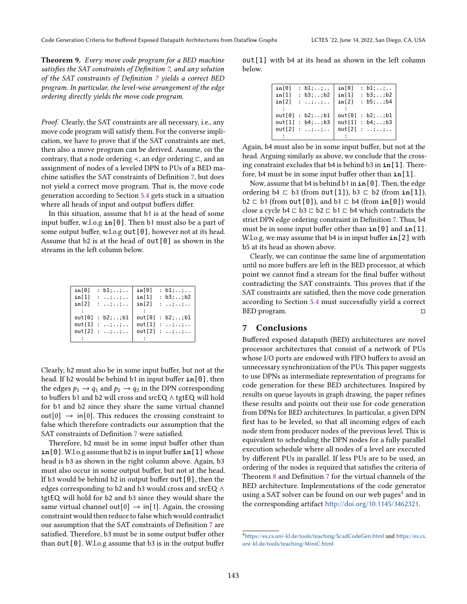Theorem 9. Every move code program for a BED machine satisfies the SAT constraints of Definition [7,](#page-9-1) and any solution of the SAT constraints of Definition [7](#page-9-1) yields a correct BED program. In particular, the level-wise arrangement of the edge ordering directly yields the move code program.

Proof. Clearly, the SAT constraints are all necessary, i.e., any move code program will satisfy them. For the converse implication, we have to prove that if the SAT constraints are met, then also a move program can be derived. Assume, on the contrary, that a node ordering ≺, an edge ordering ⊏, and an assignment of nodes of a leveled DPN to PUs of a BED machine satisfies the SAT constraints of Definition [7,](#page-9-1) but does not yield a correct move program. That is, the move code generation according to Section [5.4](#page-7-2) gets stuck in a situation where all heads of input and output buffers differ.

In this situation, assume that b1 is at the head of some input buffer, w.l.o.g **in**[0]. Then b1 must also be a part of some output buffer, w.l.o.g out [0], however not at its head. Assume that  $b2$  is at the head of  $out[0]$  as shown in the streams in the left column below.

| in[0]  | : $b1; ;$               | in[0]  | : $b1; ; $         |
|--------|-------------------------|--------|--------------------|
| in[1]  | $1 - 1 + 1 + 1 + 1 + 1$ | in[1]  | : $b3; \ldots; b2$ |
| in[2]  | 1.1.1.1.1.1.1           | in[2]  | 1.1.1.1.1.1.1      |
|        |                         |        |                    |
|        | out[0]: b2;;b1          | out[0] | : b2;;b1           |
|        | out[1]: ; ;             | out[1] | 1.1.11.11.1.1      |
| out[2] | 1.1.11.11.1.1.1         | out[2] | 1.1.11.1.1.1.1     |
|        |                         |        |                    |

Clearly, b2 must also be in some input buffer, but not at the head. If b2 would be behind b1 in input buffer **in**[0], then the edges  $p_1 \rightarrow q_1$  and  $p_2 \rightarrow q_2$  in the DPN corresponding to buffers b1 and b2 will cross and srcEQ ∧ tgtEQ will hold for b1 and b2 since they share the same virtual channel out [0]  $\rightarrow$  in [0]. This reduces the crossing constraint to false which therefore contradicts our assumption that the SAT constraints of Definition [7](#page-9-1) were satisfied.

Therefore, b2 must be in some input buffer other than **in**[0]. W.l.o.g assume that b2 is in input buffer **in**[1] whose head is b3 as shown in the right column above. Again, b3 must also occur in some output buffer, but not at the head. If b3 would be behind b2 in output buffer  $out[0]$ , then the edges corresponding to b2 and b3 would cross and srcEQ ∧ tgtEQ will hold for b2 and b3 since they would share the same virtual channel out [0]  $\rightarrow$  in [1]. Again, the crossing constraint would then reduce to false which would contradict our assumption that the SAT constraints of Definition [7](#page-9-1) are satisfied. Therefore, b3 must be in some output buffer other than  $out[0]$ . W.l.o.g assume that b3 is in the output buffer

out[1] with b4 at its head as shown in the left column below.

| in[0] | : $b1; ; $      | in[0] | : $b1; ; $          |
|-------|-----------------|-------|---------------------|
| in[1] | : $b3; ; b2$    | in[1] | : $b3; \ldots; b2$  |
| in[2] | 1.1.1.1.1.1.1.1 | in[2] | : $b5; \ldots; b4$  |
|       |                 |       |                     |
|       | out[0]: b2;;b1  |       | out[0]: b2;;b1      |
|       | out[1]: b4;;b3  |       | out[1]: b4;; b3     |
|       | out[2]: ; ;     |       | out[2]: ; . ; . ; . |
|       |                 |       |                     |

Again, b4 must also be in some input buffer, but not at the head. Arguing similarly as above, we conclude that the crossing constraint excludes that b4 is behind b3 in **in**[1]. Therefore, b4 must be in some input buffer other than **in**[1].

Now, assume that b4 is behind b1 in **in**[0]. Then, the edge ordering  $b4 \nightharpoonup b3$  (from out [1]),  $b3 \nightharpoonup b2$  (from in [1]), b2 ⊏ b1 (from out[0]), and b1 ⊏ b4 (from **in**[0]) would close a cycle b4  $\sqsubset$  b3  $\sqsubset$  b2  $\sqsubset$  b1  $\sqsubset$  b4 which contradicts the strict DPN edge ordering constraint in Definition [7.](#page-9-1) Thus, b4 must be in some input buffer other than **in**[0] and **in**[1]. W.l.o.g, we may assume that b4 is in input buffer **in**[2] with b5 at its head as shown above.

Clearly, we can continue the same line of argumentation until no more buffers are left in the BED processor, at which point we cannot find a stream for the final buffer without contradicting the SAT constraints. This proves that if the SAT constraints are satisfied, then the move code generation according to Section [5.4](#page-7-2) must successfully yield a correct BED program. □

## 7 Conclusions

Buffered exposed datapath (BED) architectures are novel processor architectures that consist of a network of PUs whose I/O ports are endowed with FIFO buffers to avoid an unnecessary synchronization of the PUs. This paper suggests to use DPNs as intermediate representation of programs for code generation for these BED architectures. Inspired by results on queue layouts in graph drawing, the paper refines these results and points out their use for code generation from DPNs for BED architectures. In particular, a given DPN first has to be leveled, so that all incoming edges of each node stem from producer nodes of the previous level. This is equivalent to scheduling the DPN nodes for a fully parallel execution schedule where all nodes of a level are executed by different PUs in parallel. If less PUs are to be used, an ordering of the nodes is required that satisfies the criteria of Theorem [8](#page-6-0) and Definition [7](#page-9-1) for the virtual channels of the BED architecture. Implementations of the code generator using a SAT solver can be found on our web pages $4$  and in the corresponding artifact <http://doi.org/10.1145/3462321>.

<span id="page-10-0"></span><sup>4</sup><https://es.cs.uni-kl.de/tools/teaching/ScadCodeGen.html> and [https://es.cs.](https://es.cs.uni-kl.de/tools/teaching/MiniC.html) [uni-kl.de/tools/teaching/MiniC.html](https://es.cs.uni-kl.de/tools/teaching/MiniC.html)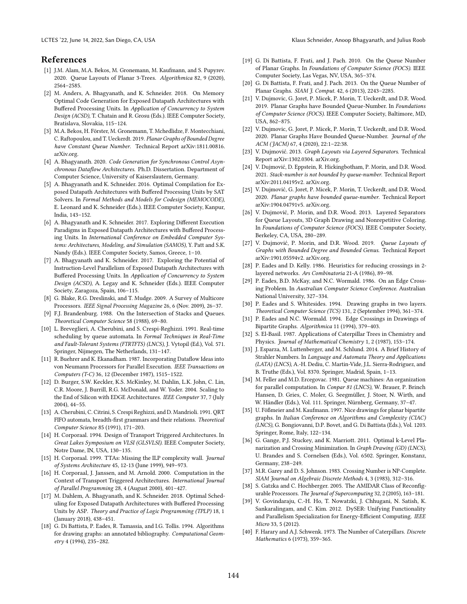## References

- <span id="page-11-26"></span>[1] J.M. Alam, M.A. Bekos, M. Gronemann, M. Kaufmann, and S. Pupyrev. 2020. Queue Layouts of Planar 3-Trees. Algorithmica 82, 9 (2020), 2564-2585.
- <span id="page-11-5"></span>[2] M. Anders, A. Bhagyanath, and K. Schneider. 2018. On Memory Optimal Code Generation for Exposed Datapath Architectures with Buffered Processing Units. In Application of Concurrency to System Design (ACSD), T. Chatain and R. Grosu (Eds.). IEEE Computer Society, Bratislava, Slovakia, 115-124.
- <span id="page-11-20"></span>[3] M.A. Bekos, H. Förster, M. Gronemann, T. Mchedlidze, F. Montecchiani, C. Raftopoulou, and T. Ueckerdt. 2019. Planar Graphs of Bounded Degree have Constant Queue Number. Technical Report arXiv:1811.00816. arXiv.org.
- [4] A. Bhagyanath. 2020. Code Generation for Synchronous Control Asynchronous Dataflow Architectures. Ph.D. Dissertation. Department of Computer Science, University of Kaiserslautern, Germany.
- <span id="page-11-6"></span>[5] A. Bhagyanath and K. Schneider. 2016. Optimal Compilation for Exposed Datapath Architectures with Buffered Processing Units by SAT Solvers. In Formal Methods and Models for Codesign (MEMOCODE), E. Leonard and K. Schneider (Eds.). IEEE Computer Society, Kanpur, India, 143-152.
- [6] A. Bhagyanath and K. Schneider. 2017. Exploring Different Execution Paradigms in Exposed Datapath Architectures with Buffered Processing Units. In International Conference on Embedded Computer Systems: Architectures, Modeling, and Simulation (SAMOS), Y. Patt and S.K. Nandy (Eds.). IEEE Computer Society, Samos, Greece, 1-10.
- <span id="page-11-7"></span>[7] A. Bhagyanath and K. Schneider. 2017. Exploring the Potential of Instruction-Level Parallelism of Exposed Datapath Architectures with Buffered Processing Units. In Application of Concurrency to System Design (ACSD), A. Legay and K. Schneider (Eds.). IEEE Computer Society, Zaragoza, Spain, 106-115.
- <span id="page-11-8"></span>[8] G. Blake, R.G. Dreslinski, and T. Mudge. 2009. A Survey of Multicore Processors. IEEE Signal Processing Magazine 26, 6 (Nov. 2009), 26-37.
- <span id="page-11-11"></span>[9] F.J. Brandenburg. 1988. On the Intersection of Stacks and Queues. Theoretical Computer Science 58 (1988), 69-80.
- <span id="page-11-13"></span>[10] L. Breveglieri, A. Cherubini, and S. Crespi-Reghizzi. 1991. Real-time scheduling by queue automata. In Formal Techniques in Real-Time and Fault-Tolerant Systems (FTRTFTS) (LNCS), J. Vytopil (Ed.), Vol. 571. Springer, Nijmegen, The Netherlands, 131-147.
- <span id="page-11-9"></span>[11] R. Buehrer and K. Ekanadham. 1987. Incorporating Dataflow Ideas into von Neumann Processors for Parallel Execution. IEEE Transactions on Computers (T-C) 36, 12 (December 1987), 1515-1522.
- <span id="page-11-0"></span>[12] D. Burger, S.W. Keckler, K.S. McKinley, M. Dahlin, L.K. John, C. Lin, C.R. Moore, J. Burrill, R.G. McDonald, and W. Yoder. 2004. Scaling to the End of Silicon with EDGE Architectures. IEEE Computer 37, 7 (July  $2004$ ,  $44-55$ .
- <span id="page-11-12"></span>[13] A. Cherubini, C. Citrini, S. Crespi Reghizzi, and D. Mandrioli. 1991. QRT FIFO automata, breadth-first grammars and their relations. Theoretical Computer Science 85 (1991), 171-203.
- <span id="page-11-2"></span>[14] H. Corporaal. 1994. Design of Transport Triggered Architectures. In Great Lakes Symposium on VLSI (GLSVLSI). IEEE Computer Society, Notre Dame, IN, USA, 130-135.
- [15] H. Corporaal. 1999. TTAs: Missing the ILP complexity wall. Journal of Systems Architecture 45, 12-13 (June 1999), 949-973.
- <span id="page-11-3"></span>[16] H. Corporaal, J. Janssen, and M. Arnold. 2000. Computation in the Context of Transport Triggered Architectures. International Journal of Parallel Programming 28, 4 (August 2000), 401-427.
- <span id="page-11-36"></span>[17] M. Dahlem, A. Bhagyanath, and K. Schneider. 2018. Optimal Scheduling for Exposed Datapath Architectures with Buffered Processing Units by ASP. Theory and Practice of Logic Programming (TPLP) 18, 1 (January 2018), 438-451.
- <span id="page-11-15"></span>[18] G. Di Battista, P. Eades, R. Tamassia, and I.G. Tollis. 1994. Algorithms for drawing graphs: an annotated bibliography. Computational Geometry 4 (1994), 235-282.
- <span id="page-11-21"></span>[19] G. Di Battista, F. Frati, and J. Pach. 2010. On the Queue Number of Planar Graphs. In Foundations of Computer Science (FOCS). IEEE Computer Society, Las Vegas, NV, USA, 365-374.
- <span id="page-11-22"></span>[20] G. Di Battista, F. Frati, and J. Pach. 2013. On the Queue Number of Planar Graphs. SIAM J. Comput. 42, 6 (2013), 2243-2285.
- <span id="page-11-17"></span>[21] V. Dujmovic, G. Joret, P. Micek, P. Morin, T. Ueckerdt, and D.R. Wood. 2019. Planar Graphs have Bounded Queue-Number. In Foundations of Computer Science (FOCS). IEEE Computer Society, Baltimore, MD, USA, 862-875.
- <span id="page-11-18"></span>[22] V. Dujmovic, G. Joret, P. Micek, P. Morin, T. Ueckerdt, and D.R. Wood. 2020. Planar Graphs Have Bounded Queue-Number. Journal of the ACM (JACM) 67, 4 (2020), 22:1-22:38.
- <span id="page-11-23"></span>[23] V. Dujmović. 2013. Graph Layouts via Layered Separators. Technical Report arXiv:1302.0304. arXiv.org.
- <span id="page-11-16"></span>[24] V. Dujmović, D. Eppstein, R. Hickingbotham, P. Morin, and D.R. Wood. 2021. Stack-number is not bounded by queue-number. Technical Report arXiv:2011.04195v2. arXiv.org.
- <span id="page-11-19"></span>[25] V. Dujmović, G. Joret, P. Micek, P. Morin, T. Ueckerdt, and D.R. Wood. 2020. Planar graphs have bounded queue-number. Technical Report arXiv:1904.04791v5. arXiv.org.
- <span id="page-11-24"></span>[26] V. Dujmović, P. Morin, and D.R. Wood. 2013. Layered Separators for Queue Layouts, 3D Graph Drawing and Nonrepetitive Coloring. In Foundations of Computer Science (FOCS). IEEE Computer Society, Berkeley, CA, USA, 280-289.
- <span id="page-11-25"></span>[27] V. Dujmović, P. Morin, and D.R. Wood. 2019. Queue Layouts of Graphs with Bounded Degree and Bounded Genus. Technical Report arXiv:1901.05594v2. arXiv.org.
- <span id="page-11-27"></span>[28] P. Eades and D. Kelly. 1986. Heuristics for reducing crossings in 2layered networks. Ars Combinatoria 21-A (1986), 89-98.
- <span id="page-11-30"></span>[29] P. Eades, B.D. McKay, and N.C. Wormald. 1986. On an Edge Crossing Problem. In Australian Computer Science Conference. Australian National University, 327-334.
- <span id="page-11-31"></span>[30] P. Eades and S. Whitesides. 1994. Drawing graphs in two layers. Theoretical Computer Science (TCS) 131, 2 (September 1994), 361-374.
- <span id="page-11-28"></span>[31] P. Eades and N.C. Wormald. 1994. Edge Crossings in Drawings of Bipartite Graphs. Algorithmica 11 (1994), 379-403.
- <span id="page-11-32"></span>[32] S. El-Basil. 1987. Applications of Caterpillar Trees in Chemistry and Physics. Journal of Mathematical Chemistry 1, 2 (1987), 153-174.
- <span id="page-11-10"></span>[33] J. Esparza, M. Luttenberger, and M. Schlund. 2014. A Brief History of Strahler Numbers. In Language and Automata Theory and Applications (LATA) (LNCS), A.-H. Dediu, C. Martin-Vide, J.L. Sierra-Rodriguez, and B. Truthe (Eds.), Vol. 8370. Springer, Madrid, Spain, 1-13.
- <span id="page-11-14"></span>[34] M. Feller and M.D. Ercegovac. 1981. Queue machines: An organization for parallel computation. In Conpar 81 (LNCS), W. Brauer, P. Brinch Hansen, D. Gries, C. Moler, G. Seegmüller, J. Stoer, N. Wirth, and W. Händler (Eds.), Vol. 111. Springer, Nürnberg, Germany, 37-47.
- <span id="page-11-29"></span>[35] U. Fößmeier and M. Kaufmann. 1997. Nice drawings for planar bipartite graphs. In Italian Conference on Algorithms and Complexity (CIAC) (LNCS), G. Bongiovanni, D.P. Bovet, and G. Di Battista (Eds.), Vol. 1203. Springer, Rome, Italy, 122-134.
- <span id="page-11-35"></span>[36] G. Gange, P.J. Stuckey, and K. Marriott. 2011. Optimal k-Level Planarization and Crossing Minimization. In Graph Drawing (GD) (LNCS), U. Brandes and S. Cornelsen (Eds.), Vol. 6502. Springer, Konstanz, Germany, 238-249.
- <span id="page-11-34"></span>[37] M.R. Garey and D. S. Johnson. 1983. Crossing Number is NP-Complete. SIAM Journal on Algebraic Discrete Methods 4, 3 (1983), 312-316.
- <span id="page-11-4"></span>[38] S. Gatzka and C. Hochberger. 2005. The AMIDAR Class of Reconfigurable Processors. The Journal of Supercomputing 32, 2 (2005), 163-181.
- <span id="page-11-1"></span>[39] V. Govindaraju, C.-H. Ho, T. Nowatzki, J. Chhugani, N. Satish, K. Sankaralingam, and C. Kim. 2012. DySER: Unifying Functionality and Parallelism Specialization for Energy-Efficient Computing. IEEE Micro 33, 5 (2012).
- <span id="page-11-33"></span>[40] F. Harary and A.J. Schwenk. 1973. The Number of Caterpillars. Discrete Mathematics 6 (1973), 359-365.